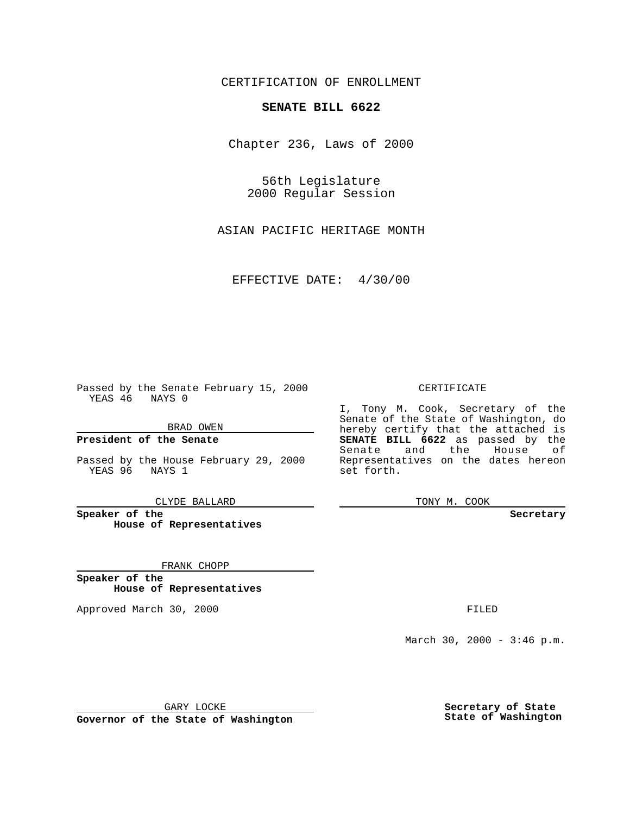CERTIFICATION OF ENROLLMENT

## **SENATE BILL 6622**

Chapter 236, Laws of 2000

56th Legislature 2000 Regular Session

ASIAN PACIFIC HERITAGE MONTH

EFFECTIVE DATE: 4/30/00

Passed by the Senate February 15, 2000 YEAS 46 NAYS 0

BRAD OWEN

**President of the Senate**

Passed by the House February 29, 2000 YEAS 96 NAYS 1

CLYDE BALLARD

**Speaker of the House of Representatives**

FRANK CHOPP

**Speaker of the House of Representatives**

Approved March 30, 2000 FILED

## CERTIFICATE

I, Tony M. Cook, Secretary of the Senate of the State of Washington, do hereby certify that the attached is **SENATE BILL 6622** as passed by the Senate and the House of Representatives on the dates hereon set forth.

TONY M. COOK

**Secretary**

March 30, 2000 - 3:46 p.m.

GARY LOCKE

**Governor of the State of Washington**

**Secretary of State State of Washington**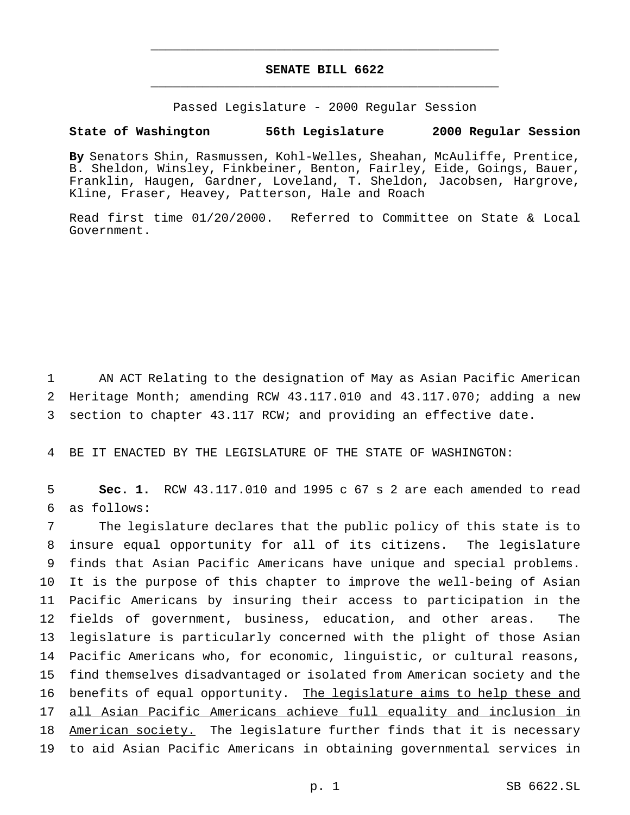## **SENATE BILL 6622** \_\_\_\_\_\_\_\_\_\_\_\_\_\_\_\_\_\_\_\_\_\_\_\_\_\_\_\_\_\_\_\_\_\_\_\_\_\_\_\_\_\_\_\_\_\_\_

\_\_\_\_\_\_\_\_\_\_\_\_\_\_\_\_\_\_\_\_\_\_\_\_\_\_\_\_\_\_\_\_\_\_\_\_\_\_\_\_\_\_\_\_\_\_\_

Passed Legislature - 2000 Regular Session

## **State of Washington 56th Legislature 2000 Regular Session**

**By** Senators Shin, Rasmussen, Kohl-Welles, Sheahan, McAuliffe, Prentice, B. Sheldon, Winsley, Finkbeiner, Benton, Fairley, Eide, Goings, Bauer, Franklin, Haugen, Gardner, Loveland, T. Sheldon, Jacobsen, Hargrove, Kline, Fraser, Heavey, Patterson, Hale and Roach

Read first time 01/20/2000. Referred to Committee on State & Local Government.

1 AN ACT Relating to the designation of May as Asian Pacific American 2 Heritage Month; amending RCW 43.117.010 and 43.117.070; adding a new 3 section to chapter 43.117 RCW; and providing an effective date.

4 BE IT ENACTED BY THE LEGISLATURE OF THE STATE OF WASHINGTON:

5 **Sec. 1.** RCW 43.117.010 and 1995 c 67 s 2 are each amended to read 6 as follows:

 The legislature declares that the public policy of this state is to insure equal opportunity for all of its citizens. The legislature finds that Asian Pacific Americans have unique and special problems. It is the purpose of this chapter to improve the well-being of Asian Pacific Americans by insuring their access to participation in the fields of government, business, education, and other areas. The legislature is particularly concerned with the plight of those Asian Pacific Americans who, for economic, linguistic, or cultural reasons, find themselves disadvantaged or isolated from American society and the 16 benefits of equal opportunity. The legislature aims to help these and all Asian Pacific Americans achieve full equality and inclusion in 18 American society. The legislature further finds that it is necessary to aid Asian Pacific Americans in obtaining governmental services in